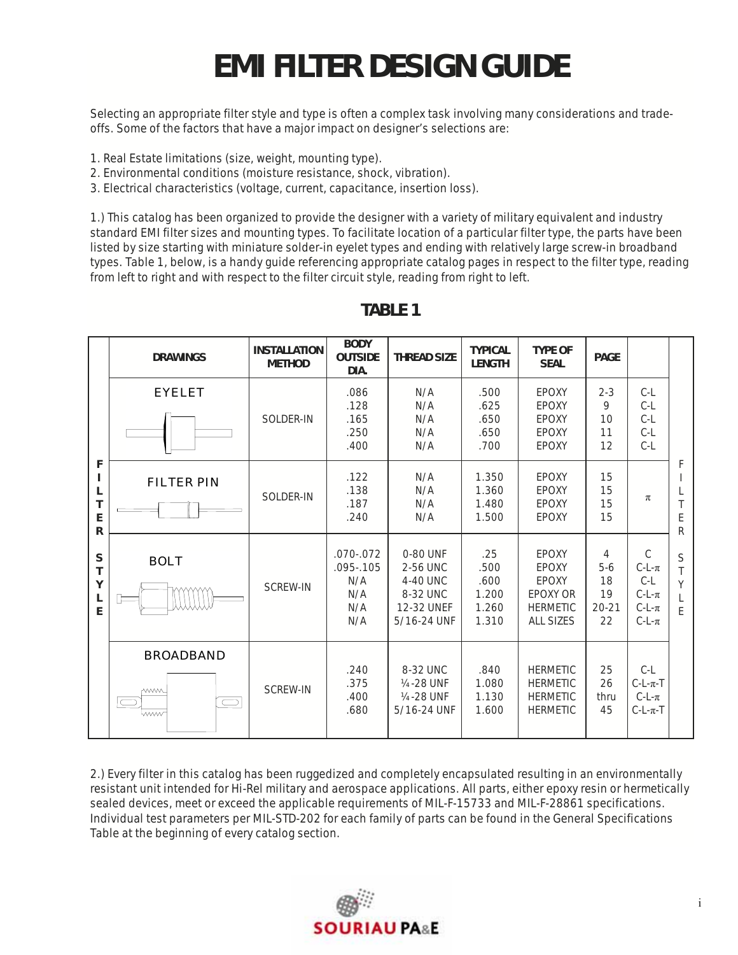## **EMI FILTER DESIGN GUIDE**

Selecting an appropriate filter style and type is often a complex task involving many considerations and tradeoffs. Some of the factors that have a major impact on designer's selections are:

- 1. Real Estate limitations (size, weight, mounting type).
- 2. Environmental conditions (moisture resistance, shock, vibration).
- 3. Electrical characteristics (voltage, current, capacitance, insertion loss).

1.) This catalog has been organized to provide the designer with a variety of military equivalent and industry standard EMI filter sizes and mounting types. To facilitate location of a particular filter type, the parts have been listed by size starting with miniature solder-in eyelet types and ending with relatively large screw-in broadband types. Table 1, below, is a handy guide referencing appropriate catalog pages in respect to the filter type, reading from left to right and with respect to the filter circuit style, reading from right to left.

|                                                | <b>DRAWINGS</b>                                      | <b>INSTALLATION</b><br><b>METHOD</b> | <b>BODY</b><br><b>OUTSIDE</b><br>DIA.                      | <b>THREAD SIZE</b>                                                            | <b>TYPICAL</b><br><b>LENGTH</b>                | <b>TYPE OF</b><br><b>SEAL</b>                                              | <b>PAGE</b>                               |                                                                            |             |
|------------------------------------------------|------------------------------------------------------|--------------------------------------|------------------------------------------------------------|-------------------------------------------------------------------------------|------------------------------------------------|----------------------------------------------------------------------------|-------------------------------------------|----------------------------------------------------------------------------|-------------|
| F<br>L<br>Т<br>E<br>R<br>S<br>T<br>Υ<br>L<br>F | <b>EYELET</b>                                        | SOLDER-IN                            | .086<br>.128<br>.165<br>.250<br>.400                       | N/A<br>N/A<br>N/A<br>N/A<br>N/A                                               | .500<br>.625<br>.650<br>.650<br>.700           | EPOXY<br>EPOXY<br>EPOXY<br>EPOXY<br>EPOXY                                  | $2 - 3$<br>9<br>10<br>11<br>12            | $C-L$<br>$C-L$<br>$C-L$<br>$C-L$<br>$C-L$                                  | F<br>E<br>R |
|                                                | <b>FILTER PIN</b>                                    | SOLDER-IN                            | .122<br>.138<br>.187<br>.240                               | N/A<br>N/A<br>N/A<br>N/A                                                      | 1.350<br>1.360<br>1.480<br>1.500               | EPOXY<br>EPOXY<br>EPOXY<br>EPOXY                                           | 15<br>15<br>15<br>15                      | π                                                                          |             |
|                                                | <b>BOLT</b>                                          | <b>SCREW-IN</b>                      | $.070 - .072$<br>$.095 - .105$<br>N/A<br>N/A<br>N/A<br>N/A | 0-80 UNF<br>2-56 UNC<br>4-40 UNC<br>8-32 UNC<br>12-32 UNEF<br>5/16-24 UNF     | .25<br>.500<br>.600<br>1.200<br>1.260<br>1.310 | EPOXY<br>EPOXY<br>EPOXY<br>EPOXY OR<br><b>HERMETIC</b><br><b>ALL SIZES</b> | 4<br>$5-6$<br>18<br>19<br>$20 - 21$<br>22 | $\mathcal{C}$<br>$C-L-\pi$<br>$C-L$<br>$C-L-\pi$<br>$C-L-\pi$<br>$C-L-\pi$ | S<br>Y<br>F |
|                                                | <b>BROADBAND</b><br><b>WWW</b><br>$\bigcirc$<br>lwww | <b>SCREW-IN</b>                      | .240<br>.375<br>.400<br>.680                               | 8-32 UNC<br>1/ <sub>4</sub> -28 UNF<br>1/ <sub>4</sub> -28 UNF<br>5/16-24 UNF | .840<br>1.080<br>1.130<br>1.600                | <b>HERMETIC</b><br><b>HERMETIC</b><br><b>HERMETIC</b><br><b>HERMETIC</b>   | 25<br>26<br>thru<br>45                    | $C-L$<br>$C-L-\pi-T$<br>$C-L-\pi$<br>$C-L-\pi-T$                           |             |

## **TABLE 1**

2.) Every filter in this catalog has been ruggedized and completely encapsulated resulting in an environmentally resistant unit intended for Hi-Rel military and aerospace applications. All parts, either epoxy resin or hermetically sealed devices, meet or exceed the applicable requirements of MIL-F-15733 and MIL-F-28861 specifications. Individual test parameters per MIL-STD-202 for each family of parts can be found in the General Specifications Table at the beginning of every catalog section.